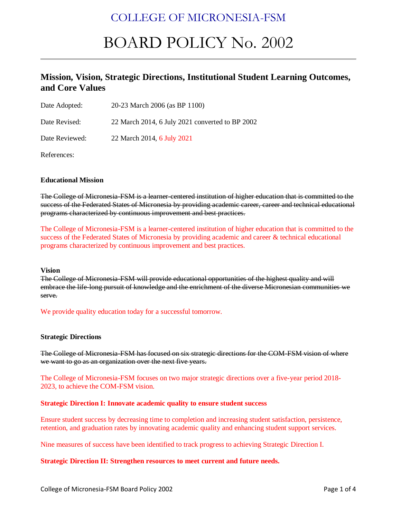# COLLEGE OF MICRONESIA-FSM

# BOARD POLICY No. 2002

### **Mission, Vision, Strategic Directions, Institutional Student Learning Outcomes, and Core Values**

| Date Adopted: | 20-23 March 2006 (as BP 1100) |
|---------------|-------------------------------|
|---------------|-------------------------------|

Date Revised: 22 March 2014, 6 July 2021 converted to BP 2002

Date Reviewed: 22 March 2014, 6 July 2021

References:

#### **Educational Mission**

The College of Micronesia-FSM is a learner-centered institution of higher education that is committed to the success of the Federated States of Micronesia by providing academic career, career and technical educational programs characterized by continuous improvement and best practices.

The College of Micronesia-FSM is a learner-centered institution of higher education that is committed to the success of the Federated States of Micronesia by providing academic and career & technical educational programs characterized by continuous improvement and best practices.

#### **Vision**

The College of Micronesia-FSM will provide educational opportunities of the highest quality and will embrace the life-long pursuit of knowledge and the enrichment of the diverse Micronesian communities we serve.

#### We provide quality education today for a successful tomorrow.

#### **Strategic Directions**

The College of Micronesia-FSM has focused on six strategic directions for the COM-FSM vision of where we want to go as an organization over the next five years.

The College of Micronesia-FSM focuses on two major strategic directions over a five-year period 2018- 2023, to achieve the COM-FSM vision.

#### **Strategic Direction I: Innovate academic quality to ensure student success**

Ensure student success by decreasing time to completion and increasing student satisfaction, persistence, retention, and graduation rates by innovating academic quality and enhancing student support services.

Nine measures of success have been identified to track progress to achieving Strategic Direction I.

#### **Strategic Direction II: Strengthen resources to meet current and future needs.**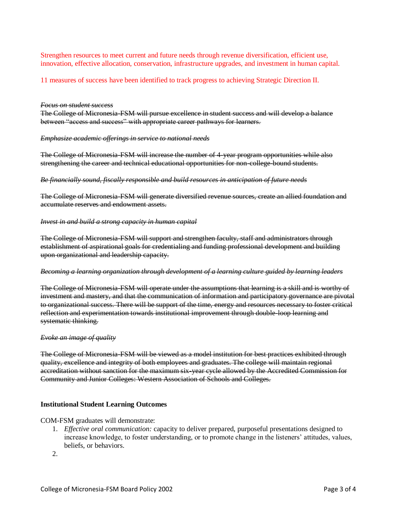Strengthen resources to meet current and future needs through revenue diversification, efficient use, innovation, effective allocation, conservation, infrastructure upgrades, and investment in human capital.

11 measures of success have been identified to track progress to achieving Strategic Direction II.

#### *Focus on student success*

The College of Micronesia-FSM will pursue excellence in student success and will develop a balance between "access and success" with appropriate career pathways for learners.

#### *Emphasize academic offerings in service to national needs*

The College of Micronesia-FSM will increase the number of 4-year program opportunities while also strengthening the career and technical educational opportunities for non-college-bound students.

#### *Be financially sound, fiscally responsible and build resources in anticipation of future needs*

The College of Micronesia-FSM will generate diversified revenue sources, create an allied foundation and accumulate reserves and endowment assets.

#### *Invest in and build a strong capacity in human capital*

The College of Micronesia-FSM will support and strengthen faculty, staff and administrators through establishment of aspirational goals for credentialing and funding professional development and building upon organizational and leadership capacity.

#### *Becoming a learning organization through development of a learning culture guided by learning leaders*

The College of Micronesia-FSM will operate under the assumptions that learning is a skill and is worthy of investment and mastery, and that the communication of information and participatory governance are pivotal to organizational success. There will be support of the time, energy and resources necessary to foster critical reflection and experimentation towards institutional improvement through double-loop learning and systematic thinking.

#### *Evoke an image of quality*

The College of Micronesia-FSM will be viewed as a model institution for best practices exhibited through quality, excellence and integrity of both employees and graduates. The college will maintain regional accreditation without sanction for the maximum six-year cycle allowed by the Accredited Commission for Community and Junior Colleges: Western Association of Schools and Colleges.

#### **Institutional Student Learning Outcomes**

#### COM-FSM graduates will demonstrate:

- 1. *Effective oral communication:* capacity to deliver prepared, purposeful presentations designed to increase knowledge, to foster understanding, or to promote change in the listeners' attitudes, values, beliefs, or behaviors.
- $2<sup>2</sup>$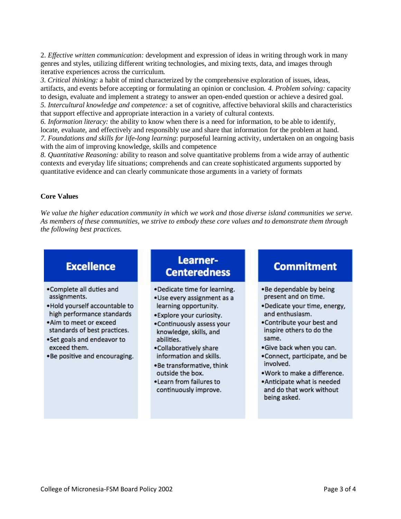2. *Effective written communication:* development and expression of ideas in writing through work in many genres and styles, utilizing different writing technologies, and mixing texts, data, and images through iterative experiences across the curriculum.

*3. Critical thinking:* a habit of mind characterized by the comprehensive exploration of issues, ideas, artifacts, and events before accepting or formulating an opinion or conclusion. *4. Problem solving:* capacity to design, evaluate and implement a strategy to answer an open-ended question or achieve a desired goal. *5. Intercultural knowledge and competence:* a set of cognitive, affective behavioral skills and characteristics that support effective and appropriate interaction in a variety of cultural contexts.

*6. Information literacy:* the ability to know when there is a need for information, to be able to identify, locate, evaluate, and effectively and responsibly use and share that information for the problem at hand. *7. Foundations and skills for life-long learning*: purposeful learning activity, undertaken on an ongoing basis with the aim of improving knowledge, skills and competence

*8. Quantitative Reasoning:* ability to reason and solve quantitative problems from a wide array of authentic contexts and everyday life situations; comprehends and can create sophisticated arguments supported by quantitative evidence and can clearly communicate those arguments in a variety of formats

#### **Core Values**

*We value the higher education community in which we work and those diverse island communities we serve. As members of these communities, we strive to embody these core values and to demonstrate them through the following best practices.*

### **Excellence**

- . Complete all duties and assignments.
- . Hold yourself accountable to high performance standards
- . Aim to meet or exceed standards of best practices.
- . Set goals and endeavor to exceed them.
- .Be positive and encouraging.

### Learner-**Centeredness**

- .Dedicate time for learning.
- ·Use every assignment as a learning opportunity.
- ·Explore your curiosity.
- . Continuously assess your knowledge, skills, and abilities.
- .Collaboratively share information and skills.
- .Be transformative, think outside the box.
- . Learn from failures to continuously improve.

### **Commitment**

- .Be dependable by being present and on time.
- ·Dedicate your time, energy, and enthusiasm.
- . Contribute your best and inspire others to do the same.
- .Give back when you can.
- .Connect, participate, and be involved.
- . Work to make a difference.
- . Anticipate what is needed and do that work without being asked.